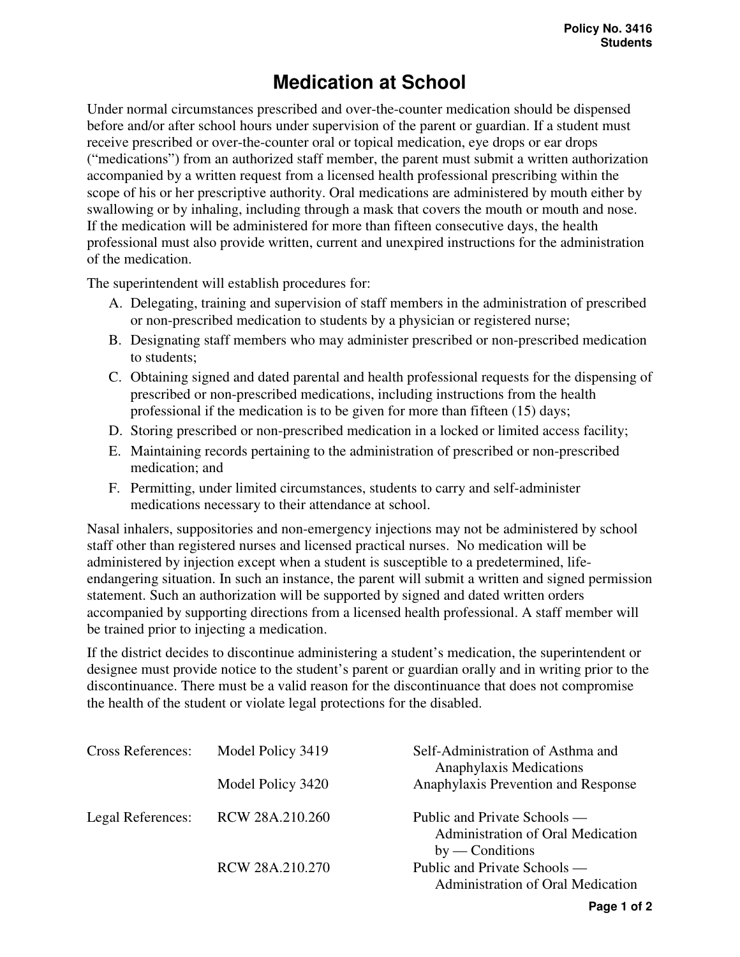## **Medication at School**

Under normal circumstances prescribed and over-the-counter medication should be dispensed before and/or after school hours under supervision of the parent or guardian. If a student must receive prescribed or over-the-counter oral or topical medication, eye drops or ear drops ("medications") from an authorized staff member, the parent must submit a written authorization accompanied by a written request from a licensed health professional prescribing within the scope of his or her prescriptive authority. Oral medications are administered by mouth either by swallowing or by inhaling, including through a mask that covers the mouth or mouth and nose. If the medication will be administered for more than fifteen consecutive days, the health professional must also provide written, current and unexpired instructions for the administration of the medication.

The superintendent will establish procedures for:

- A. Delegating, training and supervision of staff members in the administration of prescribed or non-prescribed medication to students by a physician or registered nurse;
- B. Designating staff members who may administer prescribed or non-prescribed medication to students;
- C. Obtaining signed and dated parental and health professional requests for the dispensing of prescribed or non-prescribed medications, including instructions from the health professional if the medication is to be given for more than fifteen (15) days;
- D. Storing prescribed or non-prescribed medication in a locked or limited access facility;
- E. Maintaining records pertaining to the administration of prescribed or non-prescribed medication; and
- F. Permitting, under limited circumstances, students to carry and self-administer medications necessary to their attendance at school.

Nasal inhalers, suppositories and non-emergency injections may not be administered by school staff other than registered nurses and licensed practical nurses. No medication will be administered by injection except when a student is susceptible to a predetermined, lifeendangering situation. In such an instance, the parent will submit a written and signed permission statement. Such an authorization will be supported by signed and dated written orders accompanied by supporting directions from a licensed health professional. A staff member will be trained prior to injecting a medication.

If the district decides to discontinue administering a student's medication, the superintendent or designee must provide notice to the student's parent or guardian orally and in writing prior to the discontinuance. There must be a valid reason for the discontinuance that does not compromise the health of the student or violate legal protections for the disabled.

| <b>Cross References:</b> | Model Policy 3419 | Self-Administration of Asthma and<br>Anaphylaxis Medications                           |
|--------------------------|-------------------|----------------------------------------------------------------------------------------|
|                          | Model Policy 3420 | Anaphylaxis Prevention and Response                                                    |
| Legal References:        | RCW 28A.210.260   | Public and Private Schools —<br>Administration of Oral Medication<br>$by$ — Conditions |
|                          | RCW 28A.210.270   | Public and Private Schools —<br>Administration of Oral Medication                      |